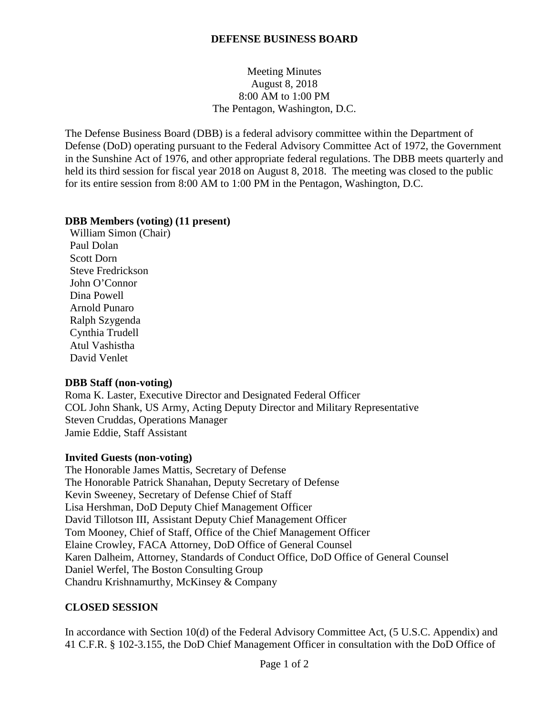## **DEFENSE BUSINESS BOARD**

## Meeting Minutes August 8, 2018 8:00 AM to 1:00 PM The Pentagon, Washington, D.C.

The Defense Business Board (DBB) is a federal advisory committee within the Department of Defense (DoD) operating pursuant to the Federal Advisory Committee Act of 1972, the Government in the Sunshine Act of 1976, and other appropriate federal regulations. The DBB meets quarterly and held its third session for fiscal year 2018 on August 8, 2018. The meeting was closed to the public for its entire session from 8:00 AM to 1:00 PM in the Pentagon, Washington, D.C.

## **DBB Members (voting) (11 present)**

William Simon (Chair) Paul Dolan Scott Dorn Steve Fredrickson John O'Connor Dina Powell Arnold Punaro Ralph Szygenda Cynthia Trudell Atul Vashistha David Venlet

## **DBB Staff (non-voting)**

Roma K. Laster, Executive Director and Designated Federal Officer COL John Shank, US Army, Acting Deputy Director and Military Representative Steven Cruddas, Operations Manager Jamie Eddie, Staff Assistant

## **Invited Guests (non-voting)**

The Honorable James Mattis, Secretary of Defense The Honorable Patrick Shanahan, Deputy Secretary of Defense Kevin Sweeney, Secretary of Defense Chief of Staff Lisa Hershman, DoD Deputy Chief Management Officer David Tillotson III, Assistant Deputy Chief Management Officer Tom Mooney, Chief of Staff, Office of the Chief Management Officer Elaine Crowley, FACA Attorney, DoD Office of General Counsel Karen Dalheim, Attorney, Standards of Conduct Office, DoD Office of General Counsel Daniel Werfel, The Boston Consulting Group Chandru Krishnamurthy, McKinsey & Company

## **CLOSED SESSION**

In accordance with Section 10(d) of the Federal Advisory Committee Act, (5 U.S.C. Appendix) and 41 C.F.R. § 102-3.155, the DoD Chief Management Officer in consultation with the DoD Office of